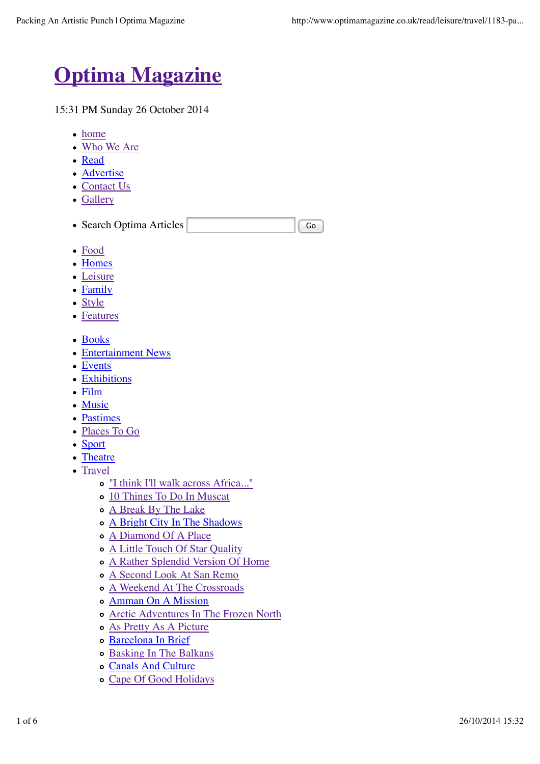

15:31 PM Sunday 26 October 2014

- home
- Who We Are
- Read
- Advertise
- Contact Us
- Gallery

|  | • Search Optima Articles |  |  |  |
|--|--------------------------|--|--|--|
|--|--------------------------|--|--|--|

- Food
- Homes
- Leisure
- Family
- Style
- Features
- Books
- Entertainment News
- Events
- Exhibitions
- Film
- Music
- Pastimes
- Places To Go
- Sport
- Theatre
- Travel
	- "I think I'll walk across Africa..."
	- 10 Things To Do In Muscat
	- o A Break By The Lake
	- A Bright City In The Shadows
	- A Diamond Of A Place
	- A Little Touch Of Star Quality
	- A Rather Splendid Version Of Home
	- A Second Look At San Remo
	- A Weekend At The Crossroads
	- Amman On A Mission
	- Arctic Adventures In The Frozen North
	- As Pretty As A Picture
	- o Barcelona In Brief
	- Basking In The Balkans
	- Canals And Culture
	- Cape Of Good Holidays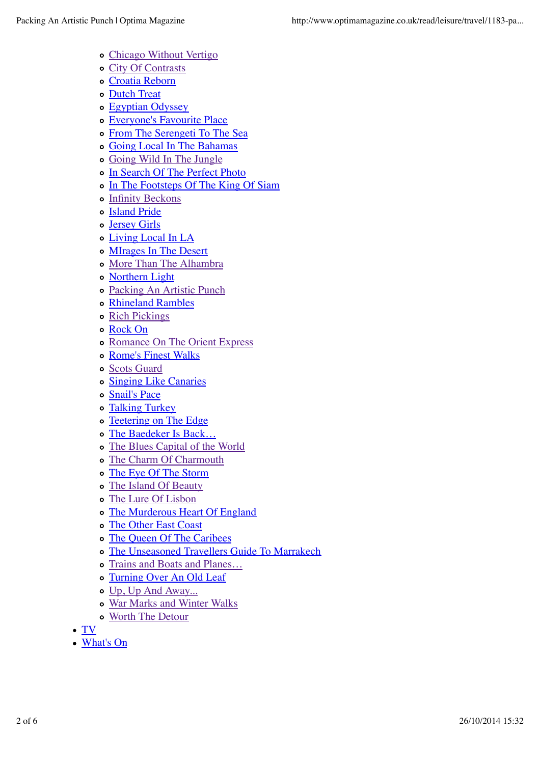- Chicago Without Vertigo
- City Of Contrasts
- Croatia Reborn
- o Dutch Treat
- Egyptian Odyssey
- Everyone's Favourite Place
- From The Serengeti To The Sea
- Going Local In The Bahamas
- Going Wild In The Jungle
- o In Search Of The Perfect Photo
- In The Footsteps Of The King Of Siam
- Infinity Beckons
- o Island Pride
- Jersey Girls
- Living Local In LA
- o MIrages In The Desert
- More Than The Alhambra
- Northern Light
- Packing An Artistic Punch
- Rhineland Rambles
- o Rich Pickings
- Rock On
- Romance On The Orient Express
- o Rome's Finest Walks
- Scots Guard
- o Singing Like Canaries
- Snail's Pace
- Talking Turkey
- o Teetering on The Edge
- The Baedeker Is Back…
- The Blues Capital of the World
- The Charm Of Charmouth
- The Eye Of The Storm
- The Island Of Beauty
- The Lure Of Lisbon
- The Murderous Heart Of England
- The Other East Coast
- The Queen Of The Caribees
- The Unseasoned Travellers Guide To Marrakech
- Trains and Boats and Planes…
- Turning Over An Old Leaf
- Up, Up And Away...
- War Marks and Winter Walks
- Worth The Detour
- TV
- What's On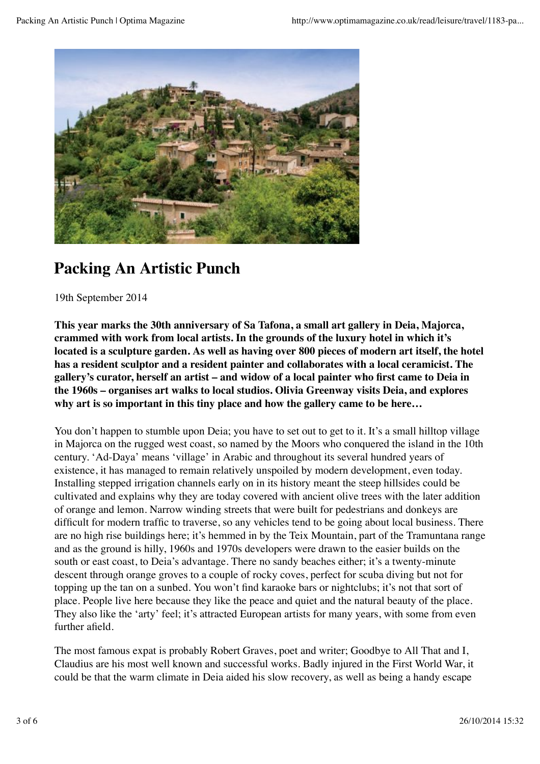

## **Packing An Artistic Punch**

19th September 2014

**This year marks the 30th anniversary of Sa Tafona, a small art gallery in Deia, Majorca, crammed with work from local artists. In the grounds of the luxury hotel in which it's located is a sculpture garden. As well as having over 800 pieces of modern art itself, the hotel has a resident sculptor and a resident painter and collaborates with a local ceramicist. The gallery's curator, herself an artist – and widow of a local painter who first came to Deia in the 1960s – organises art walks to local studios. Olivia Greenway visits Deia, and explores why art is so important in this tiny place and how the gallery came to be here…**

You don't happen to stumble upon Deia; you have to set out to get to it. It's a small hilltop village in Majorca on the rugged west coast, so named by the Moors who conquered the island in the 10th century. 'Ad-Daya' means 'village' in Arabic and throughout its several hundred years of existence, it has managed to remain relatively unspoiled by modern development, even today. Installing stepped irrigation channels early on in its history meant the steep hillsides could be cultivated and explains why they are today covered with ancient olive trees with the later addition of orange and lemon. Narrow winding streets that were built for pedestrians and donkeys are difficult for modern traffic to traverse, so any vehicles tend to be going about local business. There are no high rise buildings here; it's hemmed in by the Teix Mountain, part of the Tramuntana range and as the ground is hilly, 1960s and 1970s developers were drawn to the easier builds on the south or east coast, to Deia's advantage. There no sandy beaches either; it's a twenty-minute descent through orange groves to a couple of rocky coves, perfect for scuba diving but not for topping up the tan on a sunbed. You won't find karaoke bars or nightclubs; it's not that sort of place. People live here because they like the peace and quiet and the natural beauty of the place. They also like the 'arty' feel; it's attracted European artists for many years, with some from even further afield.

The most famous expat is probably Robert Graves, poet and writer; Goodbye to All That and I, Claudius are his most well known and successful works. Badly injured in the First World War, it could be that the warm climate in Deia aided his slow recovery, as well as being a handy escape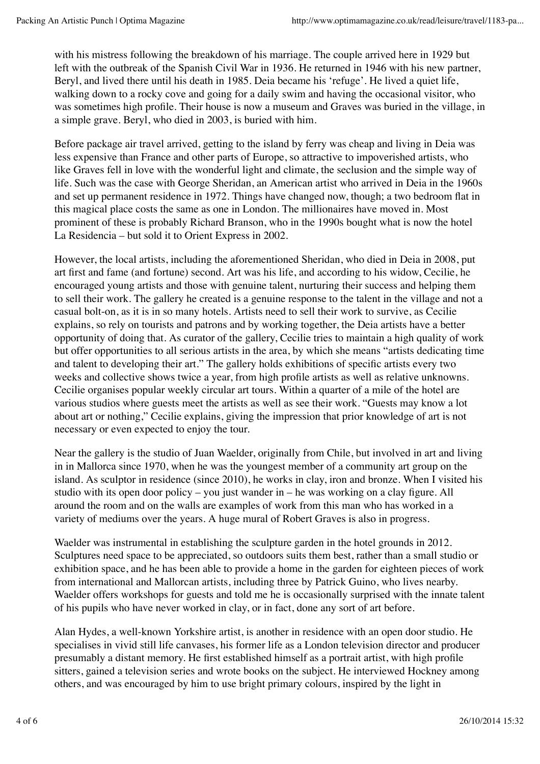with his mistress following the breakdown of his marriage. The couple arrived here in 1929 but left with the outbreak of the Spanish Civil War in 1936. He returned in 1946 with his new partner, Beryl, and lived there until his death in 1985. Deia became his 'refuge'. He lived a quiet life, walking down to a rocky cove and going for a daily swim and having the occasional visitor, who was sometimes high profile. Their house is now a museum and Graves was buried in the village, in a simple grave. Beryl, who died in 2003, is buried with him.

Before package air travel arrived, getting to the island by ferry was cheap and living in Deia was less expensive than France and other parts of Europe, so attractive to impoverished artists, who like Graves fell in love with the wonderful light and climate, the seclusion and the simple way of life. Such was the case with George Sheridan, an American artist who arrived in Deia in the 1960s and set up permanent residence in 1972. Things have changed now, though; a two bedroom flat in this magical place costs the same as one in London. The millionaires have moved in. Most prominent of these is probably Richard Branson, who in the 1990s bought what is now the hotel La Residencia – but sold it to Orient Express in 2002.

However, the local artists, including the aforementioned Sheridan, who died in Deia in 2008, put art first and fame (and fortune) second. Art was his life, and according to his widow, Cecilie, he encouraged young artists and those with genuine talent, nurturing their success and helping them to sell their work. The gallery he created is a genuine response to the talent in the village and not a casual bolt-on, as it is in so many hotels. Artists need to sell their work to survive, as Cecilie explains, so rely on tourists and patrons and by working together, the Deia artists have a better opportunity of doing that. As curator of the gallery, Cecilie tries to maintain a high quality of work but offer opportunities to all serious artists in the area, by which she means "artists dedicating time and talent to developing their art." The gallery holds exhibitions of specific artists every two weeks and collective shows twice a year, from high profile artists as well as relative unknowns. Cecilie organises popular weekly circular art tours. Within a quarter of a mile of the hotel are various studios where guests meet the artists as well as see their work. "Guests may know a lot about art or nothing," Cecilie explains, giving the impression that prior knowledge of art is not necessary or even expected to enjoy the tour.

Near the gallery is the studio of Juan Waelder, originally from Chile, but involved in art and living in in Mallorca since 1970, when he was the youngest member of a community art group on the island. As sculptor in residence (since 2010), he works in clay, iron and bronze. When I visited his studio with its open door policy – you just wander in – he was working on a clay figure. All around the room and on the walls are examples of work from this man who has worked in a variety of mediums over the years. A huge mural of Robert Graves is also in progress.

Waelder was instrumental in establishing the sculpture garden in the hotel grounds in 2012. Sculptures need space to be appreciated, so outdoors suits them best, rather than a small studio or exhibition space, and he has been able to provide a home in the garden for eighteen pieces of work from international and Mallorcan artists, including three by Patrick Guino, who lives nearby. Waelder offers workshops for guests and told me he is occasionally surprised with the innate talent of his pupils who have never worked in clay, or in fact, done any sort of art before.

Alan Hydes, a well-known Yorkshire artist, is another in residence with an open door studio. He specialises in vivid still life canvases, his former life as a London television director and producer presumably a distant memory. He first established himself as a portrait artist, with high profile sitters, gained a television series and wrote books on the subject. He interviewed Hockney among others, and was encouraged by him to use bright primary colours, inspired by the light in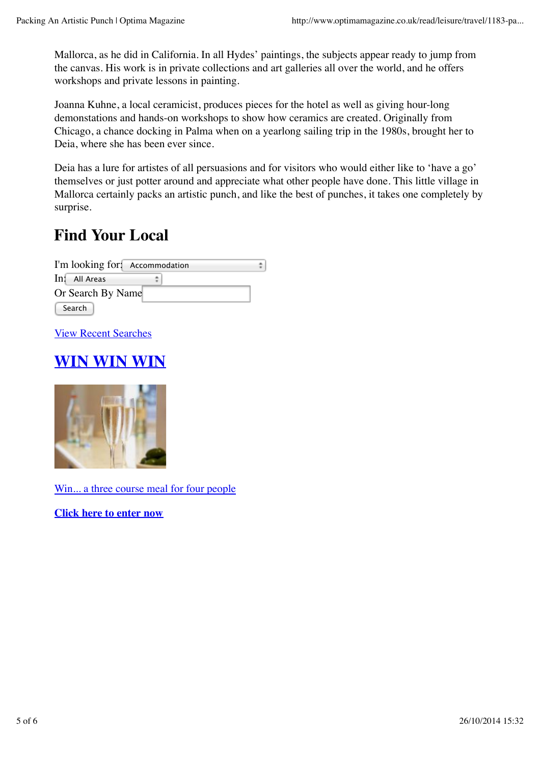Mallorca, as he did in California. In all Hydes' paintings, the subjects appear ready to jump from the canvas. His work is in private collections and art galleries all over the world, and he offers workshops and private lessons in painting.

Joanna Kuhne, a local ceramicist, produces pieces for the hotel as well as giving hour-long demonstations and hands-on workshops to show how ceramics are created. Originally from Chicago, a chance docking in Palma when on a yearlong sailing trip in the 1980s, brought her to Deia, where she has been ever since.

Deia has a lure for artistes of all persuasions and for visitors who would either like to 'have a go' themselves or just potter around and appreciate what other people have done. This little village in Mallorca certainly packs an artistic punch, and like the best of punches, it takes one completely by surprise.

## **Find Your Local**

I'm looking for: Accommodation ÷ In: All Areas ÷ Or Search By Name Search

View Recent Searches

## **WIN WIN WIN**



Win... a three course meal for four people

**Click here to enter now**